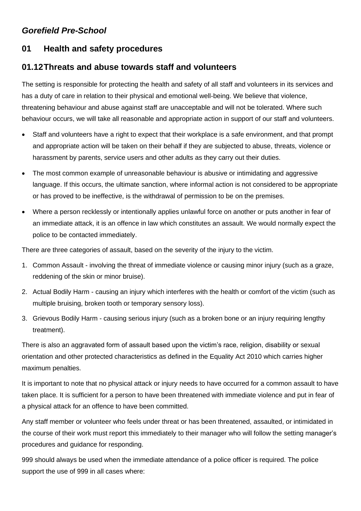# *Gorefield Pre-School*

# **01 Health and safety procedures**

# **01.12Threats and abuse towards staff and volunteers**

The setting is responsible for protecting the health and safety of all staff and volunteers in its services and has a duty of care in relation to their physical and emotional well-being. We believe that violence, threatening behaviour and abuse against staff are unacceptable and will not be tolerated. Where such behaviour occurs, we will take all reasonable and appropriate action in support of our staff and volunteers.

- Staff and volunteers have a right to expect that their workplace is a safe environment, and that prompt and appropriate action will be taken on their behalf if they are subjected to abuse, threats, violence or harassment by parents, service users and other adults as they carry out their duties.
- The most common example of unreasonable behaviour is abusive or intimidating and aggressive language. If this occurs, the ultimate sanction, where informal action is not considered to be appropriate or has proved to be ineffective, is the withdrawal of permission to be on the premises.
- Where a person recklessly or intentionally applies unlawful force on another or puts another in fear of an immediate attack, it is an offence in law which constitutes an assault. We would normally expect the police to be contacted immediately.

There are three categories of assault, based on the severity of the injury to the victim.

- 1. Common Assault involving the threat of immediate violence or causing minor injury (such as a graze, reddening of the skin or minor bruise).
- 2. Actual Bodily Harm causing an injury which interferes with the health or comfort of the victim (such as multiple bruising, broken tooth or temporary sensory loss).
- 3. Grievous Bodily Harm causing serious injury (such as a broken bone or an injury requiring lengthy treatment).

There is also an aggravated form of assault based upon the victim's race, religion, disability or sexual orientation and other protected characteristics as defined in the Equality Act 2010 which carries higher maximum penalties.

It is important to note that no physical attack or injury needs to have occurred for a common assault to have taken place. It is sufficient for a person to have been threatened with immediate violence and put in fear of a physical attack for an offence to have been committed.

Any staff member or volunteer who feels under threat or has been threatened, assaulted, or intimidated in the course of their work must report this immediately to their manager who will follow the setting manager's procedures and guidance for responding.

999 should always be used when the immediate attendance of a police officer is required. The police support the use of 999 in all cases where: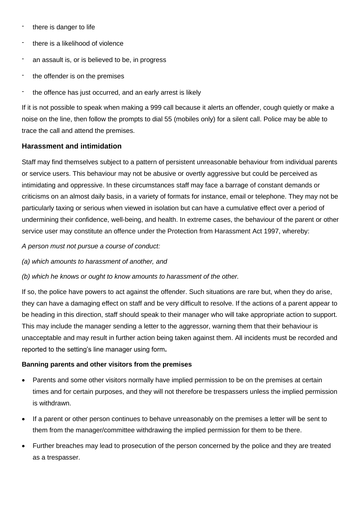- there is danger to life
- there is a likelihood of violence
- an assault is, or is believed to be, in progress
- the offender is on the premises
- the offence has just occurred, and an early arrest is likely

If it is not possible to speak when making a 999 call because it alerts an offender, cough quietly or make a noise on the line, then follow the prompts to dial 55 (mobiles only) for a silent call. Police may be able to trace the call and attend the premises.

### **Harassment and intimidation**

Staff may find themselves subject to a pattern of persistent unreasonable behaviour from individual parents or service users. This behaviour may not be abusive or overtly aggressive but could be perceived as intimidating and oppressive. In these circumstances staff may face a barrage of constant demands or criticisms on an almost daily basis, in a variety of formats for instance, email or telephone. They may not be particularly taxing or serious when viewed in isolation but can have a cumulative effect over a period of undermining their confidence, well-being, and health. In extreme cases, the behaviour of the parent or other service user may constitute an offence under the Protection from Harassment Act 1997, whereby:

*A person must not pursue a course of conduct:*

*(a) which amounts to harassment of another, and*

*(b) which he knows or ought to know amounts to harassment of the other.*

If so, the police have powers to act against the offender. Such situations are rare but, when they do arise, they can have a damaging effect on staff and be very difficult to resolve. If the actions of a parent appear to be heading in this direction, staff should speak to their manager who will take appropriate action to support. This may include the manager sending a letter to the aggressor, warning them that their behaviour is unacceptable and may result in further action being taken against them. All incidents must be recorded and reported to the setting's line manager using form**.**

#### **Banning parents and other visitors from the premises**

- Parents and some other visitors normally have implied permission to be on the premises at certain times and for certain purposes, and they will not therefore be trespassers unless the implied permission is withdrawn.
- If a parent or other person continues to behave unreasonably on the premises a letter will be sent to them from the manager/committee withdrawing the implied permission for them to be there.
- Further breaches may lead to prosecution of the person concerned by the police and they are treated as a trespasser.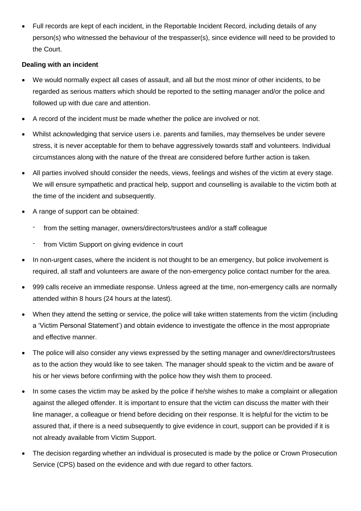• Full records are kept of each incident, in the Reportable Incident Record, including details of any person(s) who witnessed the behaviour of the trespasser(s), since evidence will need to be provided to the Court.

## **Dealing with an incident**

- We would normally expect all cases of assault, and all but the most minor of other incidents, to be regarded as serious matters which should be reported to the setting manager and/or the police and followed up with due care and attention.
- A record of the incident must be made whether the police are involved or not.
- Whilst acknowledging that service users i.e. parents and families, may themselves be under severe stress, it is never acceptable for them to behave aggressively towards staff and volunteers. Individual circumstances along with the nature of the threat are considered before further action is taken.
- All parties involved should consider the needs, views, feelings and wishes of the victim at every stage. We will ensure sympathetic and practical help, support and counselling is available to the victim both at the time of the incident and subsequently.
- A range of support can be obtained:
	- from the setting manager, owners/directors/trustees and/or a staff colleague
	- from Victim Support on giving evidence in court
- In non-urgent cases, where the incident is not thought to be an emergency, but police involvement is required, all staff and volunteers are aware of the non-emergency police contact number for the area.
- 999 calls receive an immediate response. Unless agreed at the time, non-emergency calls are normally attended within 8 hours (24 hours at the latest).
- When they attend the setting or service, the police will take written statements from the victim (including a 'Victim Personal Statement') and obtain evidence to investigate the offence in the most appropriate and effective manner.
- The police will also consider any views expressed by the setting manager and owner/directors/trustees as to the action they would like to see taken. The manager should speak to the victim and be aware of his or her views before confirming with the police how they wish them to proceed.
- In some cases the victim may be asked by the police if he/she wishes to make a complaint or allegation against the alleged offender. It is important to ensure that the victim can discuss the matter with their line manager, a colleague or friend before deciding on their response. It is helpful for the victim to be assured that, if there is a need subsequently to give evidence in court, support can be provided if it is not already available from Victim Support.
- The decision regarding whether an individual is prosecuted is made by the police or Crown Prosecution Service (CPS) based on the evidence and with due regard to other factors.